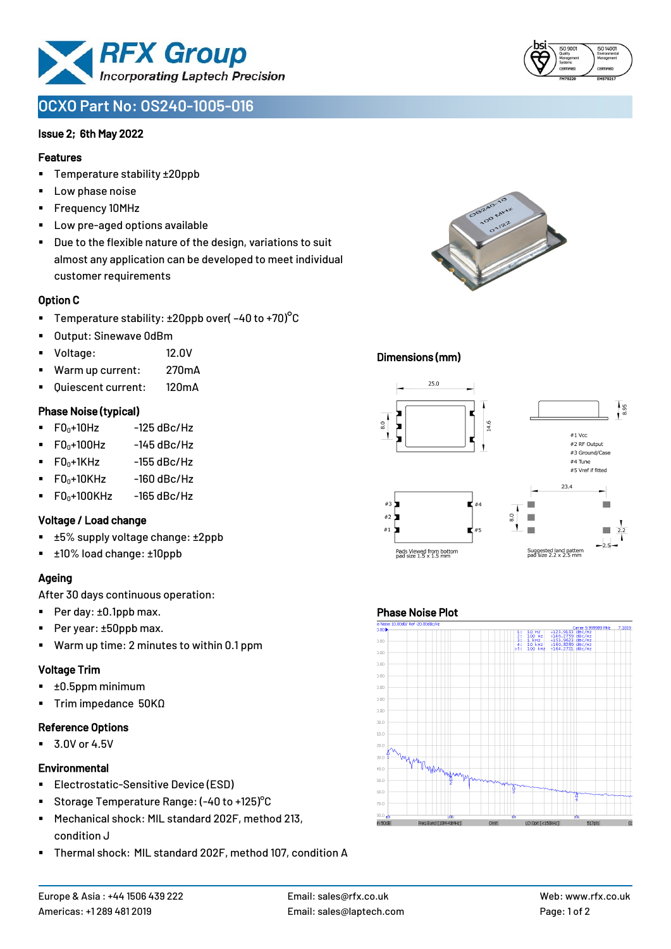

# **OCXO Part No: OS240-1005-016**

#### Issue 2; 6th May 2022

#### Features

- Temperature stability ±20ppb
- Low phase noise
- Frequency 10MHz
- Low pre-aged options available
- Due to the flexible nature of the design, variations to suit almost any application can be developed to meet individual customer requirements

#### Option C

- **•** Temperature stability:  $\pm 20$ ppb over( $-40$  to  $+70$ )<sup>o</sup>C
- Output: Sinewave 0dBm
- Voltage: 12.0V
- Warm up current: 270mA
- Quiescent current: 120mA

#### Phase Noise (typical)

- $\blacksquare$  F0 $\scriptstyle\bullet$ +10Hz -125 dBc/Hz
- $FO<sub>0</sub>+100Hz$  -145 dBc/Hz
- $F0_0+1$ KHz  $-155$  dBc/Hz
- $F0_0+10K$ Hz  $-160$  dBc/Hz
- $\blacksquare$  F0<sub>0</sub>+100KHz -165 dBc/Hz

#### Voltage / Load change

- ±5% supply voltage change: ±2ppb
- ±10% load change: ±10ppb

## Ageing

After 30 days continuous operation:

- Per day: ±0.1ppb max.
- Per year: ±50ppb max.
- Warm up time: 2 minutes to within 0.1 ppm

#### Voltage Trim

- ±0.5ppm minimum
- Trim impedance 50KΩ

#### Reference Options

■ 3.0V or 4.5V

#### **Environmental**

- **Electrostatic-Sensitive Device (ESD)**
- Storage Temperature Range: (-40 to +125) °C
- Mechanical shock: MIL standard 202F, method 213, condition J
- Thermal shock: MIL standard 202F, method 107, condition A



## Dimensions (mm)



## Phase Noise Plot